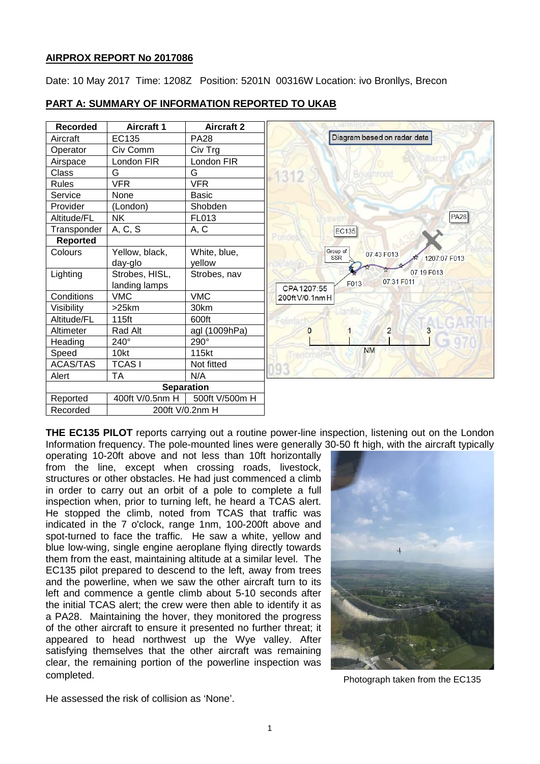# **AIRPROX REPORT No 2017086**

Date: 10 May 2017 Time: 1208Z Position: 5201N 00316W Location: ivo Bronllys, Brecon

# **PART A: SUMMARY OF INFORMATION REPORTED TO UKAB**

| <b>Recorded</b>   | <b>Aircraft 1</b> | <b>Aircraft 2</b> |                                                      |
|-------------------|-------------------|-------------------|------------------------------------------------------|
| Aircraft          | EC135             | <b>PA28</b>       | Diagram based on radar data                          |
| Operator          | Civ Comm          | Civ Trg           |                                                      |
| Airspace          | London FIR        | London FIR        |                                                      |
| Class             | G                 | G                 | 1312                                                 |
| <b>Rules</b>      | <b>VFR</b>        | <b>VFR</b>        |                                                      |
| Service           | None              | <b>Basic</b>      |                                                      |
| Provider          | (London)          | Shobden           |                                                      |
| Altitude/FL       | <b>NK</b>         | FL013             | <b>PA28</b>                                          |
| Transponder       | A, C, S           | A, C              | <b>EC135</b>                                         |
| Reported          |                   |                   |                                                      |
| Colours           | Yellow, black,    | White, blue,      | Group of<br>07:43 F013<br><b>SSR</b><br>1207:07 F013 |
|                   | day-glo           | vellow            |                                                      |
| Lighting          | Strobes, HISL,    | Strobes, nav      | 07:19 F013                                           |
|                   | landing lamps     |                   | 07:31 F011<br>F013<br>CPA 1207:55                    |
| Conditions        | <b>VMC</b>        | <b>VMC</b>        | 200ft V/0.1nm H                                      |
| Visibility        | $>25$ km          | 30km              |                                                      |
| Altitude/FL       | 115ft             | 600ft             |                                                      |
| Altimeter         | Rad Alt           | agl (1009hPa)     | $\overline{2}$<br>0                                  |
| Heading           | 240°              | 290°              |                                                      |
| Speed             | 10kt              | 115kt             | <b>NM</b>                                            |
| <b>ACAS/TAS</b>   | <b>TCASI</b>      | Not fitted        |                                                      |
| Alert             | <b>TA</b>         | N/A               |                                                      |
| <b>Separation</b> |                   |                   |                                                      |
| Reported          | 400ft V/0.5nm H   | 500ft V/500m H    |                                                      |
| Recorded          | 200ft V/0.2nm H   |                   |                                                      |

**THE EC135 PILOT** reports carrying out a routine power-line inspection, listening out on the London Information frequency. The pole-mounted lines were generally 30-50 ft high, with the aircraft typically

operating 10-20ft above and not less than 10ft horizontally from the line, except when crossing roads, livestock, structures or other obstacles. He had just commenced a climb in order to carry out an orbit of a pole to complete a full inspection when, prior to turning left, he heard a TCAS alert. He stopped the climb, noted from TCAS that traffic was indicated in the 7 o'clock, range 1nm, 100-200ft above and spot-turned to face the traffic. He saw a white, yellow and blue low-wing, single engine aeroplane flying directly towards them from the east, maintaining altitude at a similar level. The EC135 pilot prepared to descend to the left, away from trees and the powerline, when we saw the other aircraft turn to its left and commence a gentle climb about 5-10 seconds after the initial TCAS alert; the crew were then able to identify it as a PA28. Maintaining the hover, they monitored the progress of the other aircraft to ensure it presented no further threat; it appeared to head northwest up the Wye valley. After satisfying themselves that the other aircraft was remaining clear, the remaining portion of the powerline inspection was completed.



Photograph taken from the EC135

He assessed the risk of collision as 'None'.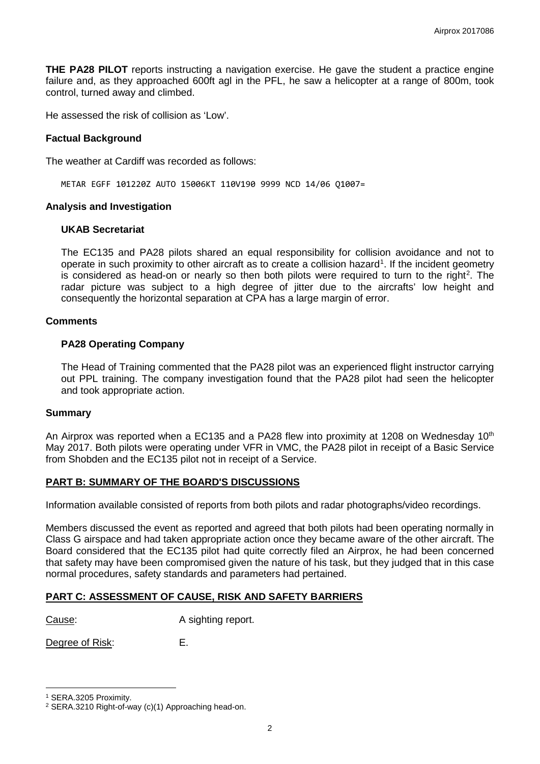**THE PA28 PILOT** reports instructing a navigation exercise. He gave the student a practice engine failure and, as they approached 600ft agl in the PFL, he saw a helicopter at a range of 800m, took control, turned away and climbed.

He assessed the risk of collision as 'Low'.

### **Factual Background**

The weather at Cardiff was recorded as follows:

METAR EGFF 101220Z AUTO 15006KT 110V190 9999 NCD 14/06 Q1007=

#### **Analysis and Investigation**

#### **UKAB Secretariat**

The EC135 and PA28 pilots shared an equal responsibility for collision avoidance and not to operate in such proximity to other aircraft as to create a collision hazard<sup>[1](#page-1-0)</sup>. If the incident geometry is considered as head-on or nearly so then both pilots were required to turn to the right<sup>[2](#page-1-1)</sup>. The radar picture was subject to a high degree of jitter due to the aircrafts' low height and consequently the horizontal separation at CPA has a large margin of error.

### **Comments**

# **PA28 Operating Company**

The Head of Training commented that the PA28 pilot was an experienced flight instructor carrying out PPL training. The company investigation found that the PA28 pilot had seen the helicopter and took appropriate action.

#### **Summary**

An Airprox was reported when a EC135 and a PA28 flew into proximity at 1208 on Wednesday 10<sup>th</sup> May 2017. Both pilots were operating under VFR in VMC, the PA28 pilot in receipt of a Basic Service from Shobden and the EC135 pilot not in receipt of a Service.

# **PART B: SUMMARY OF THE BOARD'S DISCUSSIONS**

Information available consisted of reports from both pilots and radar photographs/video recordings.

Members discussed the event as reported and agreed that both pilots had been operating normally in Class G airspace and had taken appropriate action once they became aware of the other aircraft. The Board considered that the EC135 pilot had quite correctly filed an Airprox, he had been concerned that safety may have been compromised given the nature of his task, but they judged that in this case normal procedures, safety standards and parameters had pertained.

# **PART C: ASSESSMENT OF CAUSE, RISK AND SAFETY BARRIERS**

Cause: A sighting report.

Degree of Risk: E.

l

<span id="page-1-0"></span><sup>1</sup> SERA.3205 Proximity.

<span id="page-1-1"></span><sup>2</sup> SERA.3210 Right-of-way (c)(1) Approaching head-on.